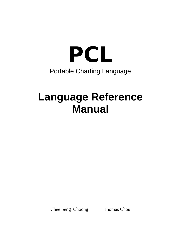

# **Language Reference Manual**

Chee Seng Choong Thomas Chou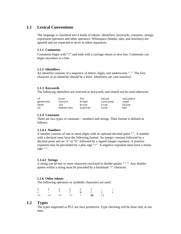# **1.1 Lexical Conventions**

The language is classified into 6 kinds of tokens: identifiers, keywords, constants, strings, expression operators and other operators. Whitespace (blanks, tabs, and newlines) are ignored and are expected to serve as token separators.

# **1.1.1 Comments**

Comments begin with "//" and ends with a carriage return or new line. Comments can begin anywhere in a line.

# **1.1.2 Identifiers**

An identifier consists of a sequence of letters, digits, and underscores "\_". The first character of an identifier should be a letter. Identifiers are case-sensitive.

# **1.1.3 Keywords**

The following identifiers are reserved as keywords, and should not be used otherwise:

| if       | else      | for     | value    | validate |
|----------|-----------|---------|----------|----------|
| qenerate | return    | break   | continue | load     |
| save     | let       | print   | true     | false    |
| in       | newseries | scatter | line     | bar      |

# **1.1.4 Constants**

There are two types of constants – numbers and strings. Their format is defined as follows:

# **1.1.4.1 Numbers**

A number consists of one or more digits with an optional decimal point ".". A number with a decimal must have the following format: An integer constant followed by a decimal point and an "e" or "E" followed by a signed integer exponent. A positive exponent may be preceeded by a plus sign "+". A negative exponent must have a minus sign "-".

# **1.1.4.2 Strings**

A string can be one or more characters enclosed in double quotes " " ". Any doublequotes within a string must be preceded by a backslash "\" character.

# **1.1.6 Other tokens**

The following operators or symbolic characters are used:

|  |  |  | $\{ \qquad \} \qquad \qquad [ \qquad ] \qquad ( \qquad ) \qquad , \qquad ;$ |  |
|--|--|--|-----------------------------------------------------------------------------|--|
|  |  |  | + − * / % = > <                                                             |  |
|  |  |  |                                                                             |  |

# **1.2 Types**

The types supported in PCL are Java primitives. Type checking will be done only at run time.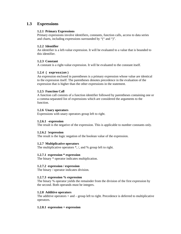# **1.3 Expressions**

# **1.2.1 Primary Expressions**

Primary expressions involve identifiers, constants, function calls, access to data series and charts, including expressions surrounded by "(" and ")".

# **1.2.2 Identifier**

An identifier is a left-value expression. It will be evaluated to a value that is bounded to this identifier.

# **1.2.3 Constant**

A constant is a right-value expression. It will be evaluated to the constant itself.

# **1.2.4 ( expression )**

An expression enclosed in parentheses is a primary expression whose value are identical to the expression itself. The parentheses denotes precedence in the evaluation of the expression that is higher than the other expressions in the statement.

# **1.2.5 Function Call**

A function call consists of a function identifier followed by parentheses containing one or a comma-separated list of expressions which are considered the arguments to the function.

# **1.2.6 Unary operators**

Expressions with unary operators group left to right.

# **1.2.6.1 -expression**

The result is the negative of the expression. This is applicable to number constants only.

# **1.2.6.2 !expression**

The result is the logic negation of the boolean value of the expression.

# **1.2.7 Multiplicative operators**

The multiplicative operators  $*, /$ , and % group left to right.

# **1.2.7.1 expression \* expression**

The binary \* operator indicates multiplication.

# **1.2.7.2 expression / expression**

The binary / operator indicates division.

# **1.2.7.3 expression % expression**

The binary % operator yields the remainder from the division of the first expression by the second. Both operands must be integers.

# **1.2.8 Additive operators**

The additive operators  $+$  and  $-$  group left to right. Precedence is deferred to multiplicative operators.

# **1.2.8.1 expression + expression**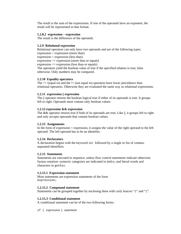The result is the sum of the expressions. If one of the operands have an exponent, the result will be represented in that format.

#### **1.2.8.2 expression – expression**

The result is the difference of the operands.

#### **1.2.9 Relational expression**

Relational operators can only have two operands and are of the following types: expression > expression (more than) expression < expression (less than)  $expression \geq expression (more than or equals)$ expression <= expression (less than or equals) The operators yield the boolean value of true if the specified relation is true; false otherwise. Only numbers may be compared.

#### **1.2.10 Equality operators**

The  $==$  (equal to) and the  $!=$  (not equal to) operators have lower precedence than relational operators. Otherwise they are evaluated the same way as relational expressions.

#### **1.2.11 expression || expression**

The || operator returns the boolean logical true if either of its operands is true. It groups left to right. Operands must contain only boolean values.

#### **1.2.12 expression && expression**

The && operator returns true if both of its operands are true. Like ||, it groups left to right and only accepts operands that contain boolean values.

#### **1.2.13 Assignments**

In the form of expression = expression, it assigns the value of the right operand to the left operand. The left operand has to be an identifier.

#### **1.2.14 Declarators**

A declaration begins with the keyword let followed by a single or list of commaseparated identifiers.

#### **1.2.15 Statements**

Statements are executed in sequence, unless flow control statements indicate otherwise. Syntax notation: syntactic categories are indicated in *italics*, and literal words and characters in gothic.

#### **1.2.15.1 Expression statement**

Most statements are expression statements of the form expression;

#### **1.2.15.2 Compound statement**

Statements can be grouped together by enclosing them with curly bracers "{" and "}".

#### **1.2.15.3 Conditional statement**

A conditional statement can be of the two following forms:

if ( *expression* ) *statement*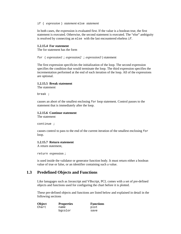#### if ( *expression* ) *statement* else *statement*

In both cases, the expression is evaluated first. If the value is a boolean true, the first statement is executed. Otherwise, the second statement is executed. The "else" ambiguity is resolved by connecting an else with the last encountered elseless if.

#### **1.2.15.4 For statement**

The for statement has the form

for ( *expression1* ; *expression2* ; *expression3* ) statement

The first expression specificies the initialization of the loop. The second expression specifies the condition that would terminate the loop. The third expression specifies the incrementation performed at the end of each iteration of the loop. All of the expressions are optional.

#### **1.2.15.5 Break statement**

The statement

break ;

causes an abort of the smallest enclosing for loop statement. Control passes to the statement that is immediately after the loop.

#### **1.2.15.6 Continue statement**

The statement

continue ;

causes control to pass to the end of the current iteration of the smallest enclosing for loop.

#### **1.2.15.7 Return statement**

A return statement,

return expression ;

is used inside the validator or generator function body. It must return either a boolean value of true or false, or an identifier containing such a value.

# **1.3 Predefined Objects and Functions**

Like lanugages such as Javascript and VBscript, PCL comes with a set of pre-defined objects and functions used for configuring the chart before it is plotted.

These pre-defined objects and functions are listed below and explained in detail in the following sections

| Object | <b>Properties</b> | <b>Functions</b> |
|--------|-------------------|------------------|
| Chart  | name              | plot             |
|        | bgcolor           | save             |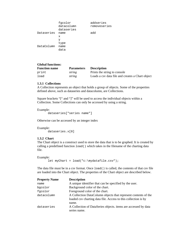|            | fgcolor<br>datacolumn<br>dataseries | addseries<br>removeseries |
|------------|-------------------------------------|---------------------------|
| Dataseries | name                                | add                       |
|            | х                                   |                           |
|            | У                                   |                           |
|            | type                                |                           |
| DataColumn | name                                |                           |
|            | data                                |                           |

| <b>Global functions:</b> |                   |                                                  |
|--------------------------|-------------------|--------------------------------------------------|
| <b>Function name</b>     | <b>Parameters</b> | <b>Description</b>                               |
| print                    | string            | Prints the string to console                     |
| load                     | string            | Loads a csy data file and creates a Chart object |

# **1.3.1 Collections**

A Collection represents an object that holds a group of objects. Some of the properties defined above, such as dataseries and datacolumn, are Collections.

Square brackets "[" and "]" will be used to access the individual objects within a Collection. Some Collections can only be accessed by using a string.

Example:

dataseries["series name"]

Otherwise can be accessed by an integer index

Example: dataseries.x[0]

# **1.3.2 Chart**

The Chart object is a construct used to store the data that is to be graphed. It is created by calling a predefined function load() which takes in the filename of the charting data file.

Example:

```
let myChart = load("c:\mydatafile.csv");
```
The data file must be in a csv format. Once  $l$  oad() is called, the contents of that csv file are loaded into the Chart object. The properties of the Chart object are described below.

| <b>Property Name</b> | <b>Description</b>                                             |
|----------------------|----------------------------------------------------------------|
| name                 | A unique identifier that can be specified by the user.         |
| bgcolor              | Background color of the chart.                                 |
| fgcolor              | Foreground color of the chart.                                 |
| datacolumn           | A Collection DataColumn objects that represent contents of the |
|                      | loaded csv charting data file. Access to this collection is by |
|                      | name.                                                          |
| dataseries           | A Collection of DataSeries objects. items are accessed by data |
|                      | series name.                                                   |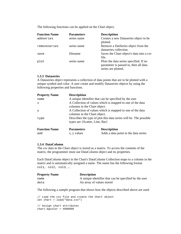The following functions can be applied on the Chart object.

| <b>Function Name</b> | <b>Parameters</b> | <b>Descripition</b>                                                                                    |
|----------------------|-------------------|--------------------------------------------------------------------------------------------------------|
| addseries            | series name       | Creates a new Dataseries object to be<br>plotted.                                                      |
| removeseries         | series name       | Remove a DatSeries object from the<br>dataseries collection.                                           |
| save                 | filename          | Saves the Chart object's data into a csv<br>file.                                                      |
| plot                 | series name       | Plots the data series specified. If no<br>parameter is passed in, then all data<br>series are plotted. |

#### **1.3.3 Dataseries**

A Dataseries object represents a collection of data points that are to be plotted with a unique symbol and color. A user create and modify Dataseries objects by using the following properties and functions.

| <b>Property Name</b> | <b>Descripition</b>                                                                                 |                                                           |  |
|----------------------|-----------------------------------------------------------------------------------------------------|-----------------------------------------------------------|--|
| name                 |                                                                                                     | A unique identifier that can be specified by the user     |  |
| x                    | A Collection of values which is mapped to one of the data<br>columns in the Chart object.           |                                                           |  |
| У                    | columns in the Chart object.                                                                        | A Collection of values which is mapped to one of the data |  |
| type                 | Describes the type of plot this data series will be. The possible<br>types are {Scatter, Line, Bar} |                                                           |  |
| <b>Function Name</b> | <b>Parameters</b>                                                                                   | <b>Descripition</b>                                       |  |
| add                  | x, y values                                                                                         | Adds a data point to the data series                      |  |

#### **1.3.4 DataColumn**

The csv data in the Chart object is stored as a matrix. To access the contents of the matrix, the programmer must use DataColumn object and its properties.

Each DataColumn object in the Chart's DataColumn Collection maps to a column in the matrix and is automatically assigned a name. The name has the following format col1, col2, col3, ....

| <b>Property Name</b> | <b>Description</b>                                    |
|----------------------|-------------------------------------------------------|
| name                 | A unique identifier that can be specified by the user |
| data                 | An array of values stored                             |

The following a sample program that shows how the objects described above are used

// Load the csv file and create the Chart object let chart = load("data.csv") // Assign chart attributes chart.bgcolor = #000000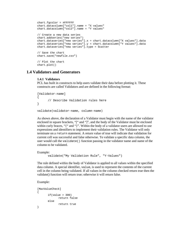```
chart.fgcolor = #FFFFFF 
chart.datacolumn["col1"].name = "X values" 
chart.datacolumn["col2"].name = "Y values" 
// Create a new data series 
chart.addseries("new series") 
chart.dataseries["new series"].x = chart.datacolumn["X values"].data 
chart.dataseries["new series"].y = chart.datacolumn["Y values"].data 
chart.dataseries["new series"].type = Scatter 
// Save the chart 
chart.save("newfile.csv") 
// Plot the chart 
chart.plot()
```
# **1.4 Validators and Generators**

#### **1.4.1 Validators**

PCL has built in constructs to help users validate their data before plotting it. These constructs are called Validators and are defined in the following format:

```
[Validator-name] 
{ 
       // Describe Validation rules here 
}
```

```
validate(validator-name, column-name)
```
As shown above, the declaration of a Validator must begin with the name of the validator enclosed in square brackets, "[" and "]", and the body of the Validator must be enclosed within curly braces, "{" and "}". Within the body of a validator users are allowed to use expressions and identifiers to implement their validation rules. The Validator will only terminate on a return statement. A return value of true will indicate that validation for current cell was successful and false otherwise. To validate a specific data column, the user would call the validate() function passing in the validator name and name of the column to be validated.

Example:

```
validate("My Validation Rule", "Y-Values")
```
The rule defined within the body of Validator is applied to all values within the specified data column. A special identifier, value, is used to represent the contents of the current cell in the column being validated. If all values in the column checked return true then the validate() function will return true; otherwise it will return false.

Example:

```
[MaxValueCheck] 
{ 
       if(value > 300) return false 
        else 
               return true 
}
```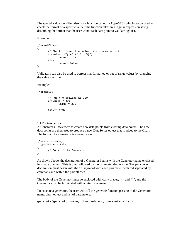The special value identifier also has a function called isTypeOf() which can be used to check the format of a specific value. The function takes in a regular expression string describing the format that the user wants each data point to validate against.

Example:

```
[FormatCheck] 
{ 
        // Check to see if a value is a number or not 
        if(value.isTypeOf("[0...9]") 
               return true 
        else 
               return false 
}
```
Validators can also be used to correct mal-formatted or out of range values by changing the value identifier.

#### Example:

```
[Normalize] 
{ 
        // Put the ceiling at 300 
       if(value > 300)value = 300 return true 
}
```
#### **1.4.2 Generators**

A Generator allows users to create new data points from existing data points. The new data points are then used to produce a new DataSeries object that is added to the Chart. The format of a Generator is shown below.

```
[Generator-Name] 
in(parameter-list) 
{ 
        // Body of the Generator 
}
```
As shown above, the declaration of a Generator begins with the Generator name enclosed in square brackets. This is then followed by the parameter declaration. The parameter declaration must begin with the in keyword with each parameter declared separated by commans and within the parantheses.

The body of the Generator must be enclosed with curly braces, "{" and "}", and the Generator must be terminated with a return statement.

To execute a generator, the user will call the generate function passing in the Generator name, chart object and list of parameters:

generate(generator-name, chart-object, parameter-list)